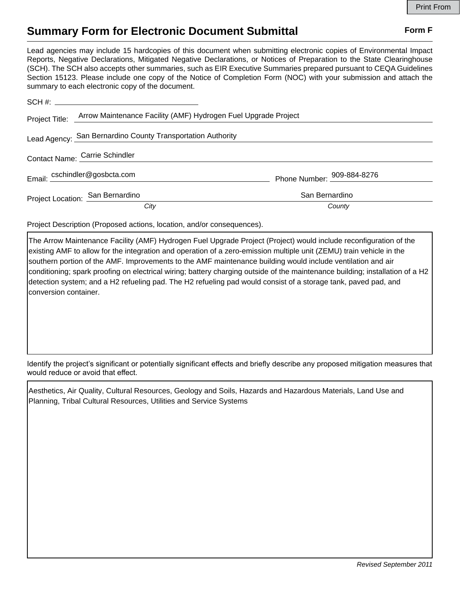## **Summary Form for Electronic Document Submittal Form F Form F**

Lead agencies may include 15 hardcopies of this document when submitting electronic copies of Environmental Impact Reports, Negative Declarations, Mitigated Negative Declarations, or Notices of Preparation to the State Clearinghouse (SCH). The SCH also accepts other summaries, such as EIR Executive Summaries prepared pursuant to CEQA Guidelines Section 15123. Please include one copy of the Notice of Completion Form (NOC) with your submission and attach the summary to each electronic copy of the document.

| Project Title:                   | Arrow Maintenance Facility (AMF) Hydrogen Fuel Upgrade Project |                            |
|----------------------------------|----------------------------------------------------------------|----------------------------|
|                                  | Lead Agency: San Bernardino County Transportation Authority    |                            |
| Contact Name: Carrie Schindler   |                                                                |                            |
| Email: cschindler@gosbcta.com    |                                                                | Phone Number: 909-884-8276 |
| Project Location: San Bernardino |                                                                | San Bernardino             |
|                                  | City                                                           | County                     |

Project Description (Proposed actions, location, and/or consequences).

The Arrow Maintenance Facility (AMF) Hydrogen Fuel Upgrade Project (Project) would include reconfiguration of the existing AMF to allow for the integration and operation of a zero-emission multiple unit (ZEMU) train vehicle in the southern portion of the AMF. Improvements to the AMF maintenance building would include ventilation and air conditioning; spark proofing on electrical wiring; battery charging outside of the maintenance building; installation of a H2 detection system; and a H2 refueling pad. The H2 refueling pad would consist of a storage tank, paved pad, and conversion container.

Identify the project's significant or potentially significant effects and briefly describe any proposed mitigation measures that would reduce or avoid that effect.

Aesthetics, Air Quality, Cultural Resources, Geology and Soils, Hazards and Hazardous Materials, Land Use and Planning, Tribal Cultural Resources, Utilities and Service Systems